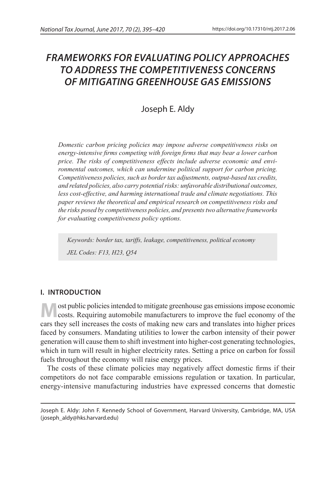# *FRAMEWORKS FOR EVALUATING POLICY APPROACHES TO ADDRESS THE COMPETITIVENESS CONCERNS OF MITIGATING GREENHOUSE GAS EMISSIONS*

# Joseph E. Aldy

*Domestic carbon pricing policies may impose adverse competitiveness risks on energy-intensive firms competing with foreign firms that may bear a lower carbon price. The risks of competitiveness effects include adverse economic and environmental outcomes, which can undermine political support for carbon pricing. Competitiveness policies, such as border tax adjustments, output-based tax credits, and related policies, also carry potential risks: unfavorable distributional outcomes, less cost-effective, and harming international trade and climate negotiations. This paper reviews the theoretical and empirical research on competitiveness risks and the risks posed by competitiveness policies, and presents two alternative frameworks for evaluating competitiveness policy options.*

*Keywords: border tax, tariffs, leakage, competitiveness, political economy JEL Codes: F13, H23, Q54*

# **I. INTRODUCTION**

**M** ost public policies intended to mitigate greenhouse gas emissions impose economic costs. Requiring automobile manufacturers to improve the fuel economy of the cars they sell increases the costs of making new cars and translates into higher prices faced by consumers. Mandating utilities to lower the carbon intensity of their power generation will cause them to shift investment into higher-cost generating technologies, which in turn will result in higher electricity rates. Setting a price on carbon for fossil fuels throughout the economy will raise energy prices.

The costs of these climate policies may negatively affect domestic firms if their competitors do not face comparable emissions regulation or taxation. In particular, energy-intensive manufacturing industries have expressed concerns that domestic

Joseph E. Aldy: John F. Kennedy School of Government, Harvard University, Cambridge, MA, USA (joseph\_aldy@hks.harvard.edu)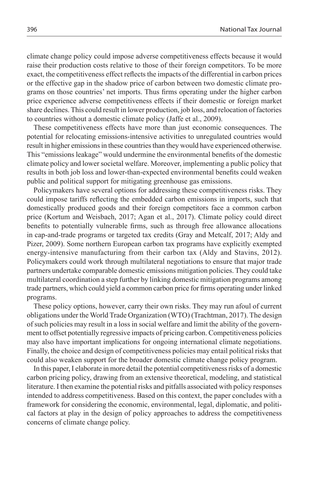climate change policy could impose adverse competitiveness effects because it would raise their production costs relative to those of their foreign competitors. To be more exact, the competitiveness effect reflects the impacts of the differential in carbon prices or the effective gap in the shadow price of carbon between two domestic climate programs on those countries' net imports. Thus firms operating under the higher carbon price experience adverse competitiveness effects if their domestic or foreign market share declines. This could result in lower production, job loss, and relocation of factories to countries without a domestic climate policy (Jaffe et al., 2009).

These competitiveness effects have more than just economic consequences. The potential for relocating emissions-intensive activities to unregulated countries would result in higher emissions in these countries than they would have experienced otherwise. This "emissions leakage" would undermine the environmental benefits of the domestic climate policy and lower societal welfare. Moreover, implementing a public policy that results in both job loss and lower-than-expected environmental benefits could weaken public and political support for mitigating greenhouse gas emissions.

Policymakers have several options for addressing these competitiveness risks. They could impose tariffs reflecting the embedded carbon emissions in imports, such that domestically produced goods and their foreign competitors face a common carbon price (Kortum and Weisbach, 2017; Agan et al., 2017). Climate policy could direct benefits to potentially vulnerable firms, such as through free allowance allocations in cap-and-trade programs or targeted tax credits (Gray and Metcalf, 2017; Aldy and Pizer, 2009). Some northern European carbon tax programs have explicitly exempted energy-intensive manufacturing from their carbon tax (Aldy and Stavins, 2012). Policymakers could work through multilateral negotiations to ensure that major trade partners undertake comparable domestic emissions mitigation policies. They could take multilateral coordination a step further by linking domestic mitigation programs among trade partners, which could yield a common carbon price for firms operating under linked programs.

These policy options, however, carry their own risks. They may run afoul of current obligations under the World Trade Organization (WTO) (Trachtman, 2017). The design of such policies may result in a loss in social welfare and limit the ability of the government to offset potentially regressive impacts of pricing carbon. Competitiveness policies may also have important implications for ongoing international climate negotiations. Finally, the choice and design of competitiveness policies may entail political risks that could also weaken support for the broader domestic climate change policy program.

In this paper, I elaborate in more detail the potential competitiveness risks of a domestic carbon pricing policy, drawing from an extensive theoretical, modeling, and statistical literature. I then examine the potential risks and pitfalls associated with policy responses intended to address competitiveness. Based on this context, the paper concludes with a framework for considering the economic, environmental, legal, diplomatic, and political factors at play in the design of policy approaches to address the competitiveness concerns of climate change policy.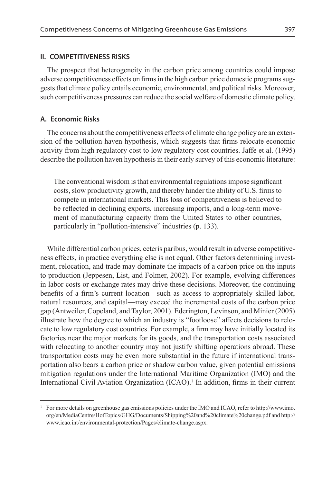#### **II. COMPETITIVENESS RISKS**

The prospect that heterogeneity in the carbon price among countries could impose adverse competitiveness effects on firms in the high carbon price domestic programs suggests that climate policy entails economic, environmental, and political risks. Moreover, such competitiveness pressures can reduce the social welfare of domestic climate policy.

# **A. Economic Risks**

The concerns about the competitiveness effects of climate change policy are an extension of the pollution haven hypothesis, which suggests that firms relocate economic activity from high regulatory cost to low regulatory cost countries. Jaffe et al. (1995) describe the pollution haven hypothesis in their early survey of this economic literature:

The conventional wisdom is that environmental regulations impose significant costs, slow productivity growth, and thereby hinder the ability of U.S. firms to compete in international markets. This loss of competitiveness is believed to be reflected in declining exports, increasing imports, and a long-term movement of manufacturing capacity from the United States to other countries, particularly in "pollution-intensive" industries (p. 133).

While differential carbon prices, ceteris paribus, would result in adverse competitiveness effects, in practice everything else is not equal. Other factors determining investment, relocation, and trade may dominate the impacts of a carbon price on the inputs to production (Jeppesen, List, and Folmer, 2002). For example, evolving differences in labor costs or exchange rates may drive these decisions. Moreover, the continuing benefits of a firm's current location—such as access to appropriately skilled labor, natural resources, and capital—may exceed the incremental costs of the carbon price gap (Antweiler, Copeland, and Taylor, 2001). Ederington, Levinson, and Minier (2005) illustrate how the degree to which an industry is "footloose" affects decisions to relocate to low regulatory cost countries. For example, a firm may have initially located its factories near the major markets for its goods, and the transportation costs associated with relocating to another country may not justify shifting operations abroad. These transportation costs may be even more substantial in the future if international transportation also bears a carbon price or shadow carbon value, given potential emissions mitigation regulations under the International Maritime Organization (IMO) and the International Civil Aviation Organization (ICAO).<sup>1</sup> In addition, firms in their current

<sup>1</sup> For more details on greenhouse gas emissions policies under the IMO and ICAO, refer to http://www.imo. org/en/MediaCentre/HotTopics/GHG/Documents/Shipping%20and%20climate%20change.pdf and http:// www.icao.int/environmental-protection/Pages/climate-change.aspx.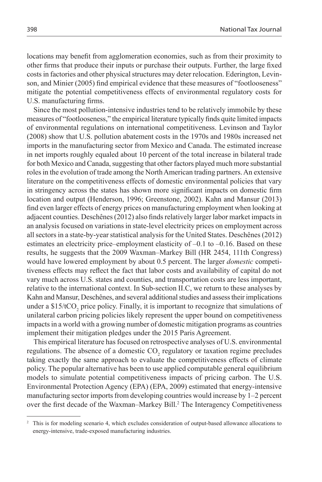locations may benefit from agglomeration economies, such as from their proximity to other firms that produce their inputs or purchase their outputs. Further, the large fixed costs in factories and other physical structures may deter relocation. Ederington, Levinson, and Minier (2005) find empirical evidence that these measures of "footlooseness" mitigate the potential competitiveness effects of environmental regulatory costs for U.S. manufacturing firms.

Since the most pollution-intensive industries tend to be relatively immobile by these measures of "footlooseness," the empirical literature typically finds quite limited impacts of environmental regulations on international competitiveness. Levinson and Taylor (2008) show that U.S. pollution abatement costs in the 1970s and 1980s increased net imports in the manufacturing sector from Mexico and Canada. The estimated increase in net imports roughly equaled about 10 percent of the total increase in bilateral trade for both Mexico and Canada, suggesting that other factors played much more substantial roles in the evolution of trade among the North American trading partners. An extensive literature on the competitiveness effects of domestic environmental policies that vary in stringency across the states has shown more significant impacts on domestic firm location and output (Henderson, 1996; Greenstone, 2002). Kahn and Mansur (2013) find even larger effects of energy prices on manufacturing employment when looking at adjacent counties. Deschênes (2012) also finds relatively larger labor market impacts in an analysis focused on variations in state-level electricity prices on employment across all sectors in a state-by-year statistical analysis for the United States. Deschênes (2012) estimates an electricity price–employment elasticity of –0.1 to –0.16. Based on these results, he suggests that the 2009 Waxman–Markey Bill (HR 2454, 111th Congress) would have lowered employment by about 0.5 percent. The larger *domestic* competitiveness effects may reflect the fact that labor costs and availability of capital do not vary much across U.S. states and counties, and transportation costs are less important, relative to the international context. In Sub-section II.C, we return to these analyses by Kahn and Mansur, Deschênes, and several additional studies and assess their implications under a \$15/tCO<sub>2</sub> price policy. Finally, it is important to recognize that simulations of unilateral carbon pricing policies likely represent the upper bound on competitiveness impacts in a world with a growing number of domestic mitigation programs as countries implement their mitigation pledges under the 2015 Paris Agreement.

This empirical literature has focused on retrospective analyses of U.S. environmental regulations. The absence of a domestic  $CO_2$  regulatory or taxation regime precludes taking exactly the same approach to evaluate the competitiveness effects of climate policy. The popular alternative has been to use applied computable general equilibrium models to simulate potential competitiveness impacts of pricing carbon. The U.S. Environmental Protection Agency (EPA) (EPA, 2009) estimated that energy-intensive manufacturing sector imports from developing countries would increase by 1–2 percent over the first decade of the Waxman-Markey Bill.<sup>2</sup> The Interagency Competitiveness

<sup>2</sup> This is for modeling scenario 4, which excludes consideration of output-based allowance allocations to energy-intensive, trade-exposed manufacturing industries.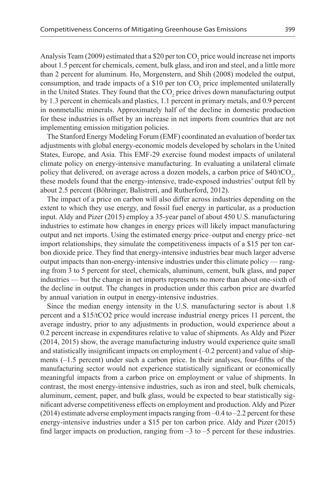Analysis Team (2009) estimated that a \$20 per ton  $CO_2$  price would increase net imports about 1.5 percent for chemicals, cement, bulk glass, and iron and steel, and a little more than 2 percent for aluminum. Ho, Morgenstern, and Shih (2008) modeled the output, consumption, and trade impacts of a \$10 per ton  $CO_2$  price implemented unilaterally in the United States. They found that the  $CO<sub>2</sub>$  price drives down manufacturing output by 1.3 percent in chemicals and plastics, 1.1 percent in primary metals, and 0.9 percent in nonmetallic minerals. Approximately half of the decline in domestic production for these industries is offset by an increase in net imports from countries that are not implementing emission mitigation policies.

The Stanford Energy Modeling Forum (EMF) coordinated an evaluation of border tax adjustments with global energy-economic models developed by scholars in the United States, Europe, and Asia. This EMF-29 exercise found modest impacts of unilateral climate policy on energy-intensive manufacturing. In evaluating a unilateral climate policy that delivered, on average across a dozen models, a carbon price of  $$40/tCO<sub>2</sub>$ , these models found that the energy-intensive, trade-exposed industries' output fell by about 2.5 percent (Böhringer, Balistreri, and Rutherford, 2012).

The impact of a price on carbon will also differ across industries depending on the extent to which they use energy, and fossil fuel energy in particular, as a production input. Aldy and Pizer (2015) employ a 35-year panel of about 450 U.S. manufacturing industries to estimate how changes in energy prices will likely impact manufacturing output and net imports. Using the estimated energy price–output and energy price–net import relationships, they simulate the competitiveness impacts of a \$15 per ton carbon dioxide price. They find that energy-intensive industries bear much larger adverse output impacts than non-energy-intensive industries under this climate policy — ranging from 3 to 5 percent for steel, chemicals, aluminum, cement, bulk glass, and paper industries — but the change in net imports represents no more than about one-sixth of the decline in output. The changes in production under this carbon price are dwarfed by annual variation in output in energy-intensive industries.

Since the median energy intensity in the U.S. manufacturing sector is about 1.8 percent and a \$15/tCO2 price would increase industrial energy prices 11 percent, the average industry, prior to any adjustments in production, would experience about a 0.2 percent increase in expenditures relative to value of shipments. As Aldy and Pizer (2014, 2015) show, the average manufacturing industry would experience quite small and statistically insignificant impacts on employment (–0.2 percent) and value of shipments (–1.5 percent) under such a carbon price. In their analyses, four-fifths of the manufacturing sector would not experience statistically significant or economically meaningful impacts from a carbon price on employment or value of shipments. In contrast, the most energy-intensive industries, such as iron and steel, bulk chemicals, aluminum, cement, paper, and bulk glass, would be expected to bear statistically significant adverse competitiveness effects on employment and production. Aldy and Pizer (2014) estimate adverse employment impacts ranging from –0.4 to –2.2 percent for these energy-intensive industries under a \$15 per ton carbon price. Aldy and Pizer (2015) find larger impacts on production, ranging from  $-3$  to  $-5$  percent for these industries.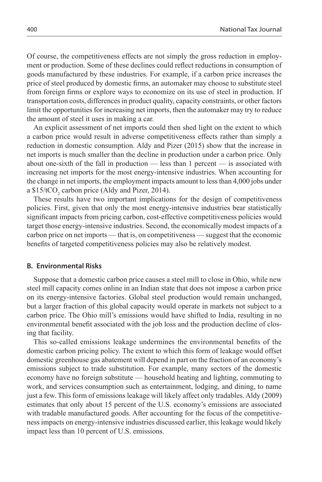Of course, the competitiveness effects are not simply the gross reduction in employment or production. Some of these declines could reflect reductions in consumption of goods manufactured by these industries. For example, if a carbon price increases the price of steel produced by domestic firms, an automaker may choose to substitute steel from foreign firms or explore ways to economize on its use of steel in production. If transportation costs, differences in product quality, capacity constraints, or other factors limit the opportunities for increasing net imports, then the automaker may try to reduce the amount of steel it uses in making a car.

An explicit assessment of net imports could then shed light on the extent to which a carbon price would result in adverse competitiveness effects rather than simply a reduction in domestic consumption. Aldy and Pizer (2015) show that the increase in net imports is much smaller than the decline in production under a carbon price. Only about one-sixth of the fall in production — less than 1 percent — is associated with increasing net imports for the most energy-intensive industries. When accounting for the change in net imports, the employment impacts amount to less than 4,000 jobs under a \$15/tCO<sub>2</sub> carbon price (Aldy and Pizer, 2014).

These results have two important implications for the design of competitiveness policies. First, given that only the most energy-intensive industries bear statistically significant impacts from pricing carbon, cost-effective competitiveness policies would target those energy-intensive industries. Second, the economically modest impacts of a carbon price on net imports — that is, on competitiveness — suggest that the economic benefits of targeted competitiveness policies may also be relatively modest.

#### **B. Environmental Risks**

Suppose that a domestic carbon price causes a steel mill to close in Ohio, while new steel mill capacity comes online in an Indian state that does not impose a carbon price on its energy-intensive factories. Global steel production would remain unchanged, but a larger fraction of this global capacity would operate in markets not subject to a carbon price. The Ohio mill's emissions would have shifted to India, resulting in no environmental benefit associated with the job loss and the production decline of closing that facility.

This so-called emissions leakage undermines the environmental benefits of the domestic carbon pricing policy. The extent to which this form of leakage would offset domestic greenhouse gas abatement will depend in part on the fraction of an economy's emissions subject to trade substitution. For example, many sectors of the domestic economy have no foreign substitute — household heating and lighting, commuting to work, and services consumption such as entertainment, lodging, and dining, to name just a few. This form of emissions leakage will likely affect only tradables. Aldy (2009) estimates that only about 15 percent of the U.S. economy's emissions are associated with tradable manufactured goods. After accounting for the focus of the competitiveness impacts on energy-intensive industries discussed earlier, this leakage would likely impact less than 10 percent of U.S. emissions.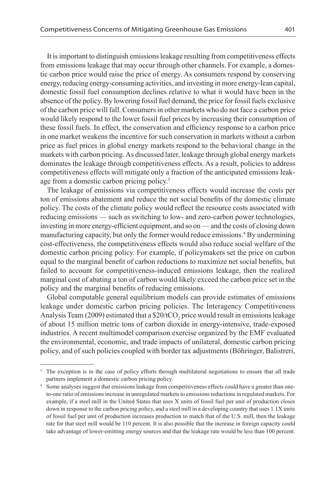It is important to distinguish emissions leakage resulting from competitiveness effects from emissions leakage that may occur through other channels. For example, a domestic carbon price would raise the price of energy. As consumers respond by conserving energy, reducing energy-consuming activities, and investing in more energy-lean capital, domestic fossil fuel consumption declines relative to what it would have been in the absence of the policy. By lowering fossil fuel demand, the price for fossil fuels exclusive of the carbon price will fall. Consumers in other markets who do not face a carbon price would likely respond to the lower fossil fuel prices by increasing their consumption of these fossil fuels. In effect, the conservation and efficiency response to a carbon price in one market weakens the incentive for such conservation in markets without a carbon price as fuel prices in global energy markets respond to the behavioral change in the markets with carbon pricing. As discussed later, leakage through global energy markets dominates the leakage through competitiveness effects. As a result, policies to address competitiveness effects will mitigate only a fraction of the anticipated emissions leakage from a domestic carbon pricing policy.3

The leakage of emissions via competitiveness effects would increase the costs per ton of emissions abatement and reduce the net social benefits of the domestic climate policy. The costs of the climate policy would reflect the resource costs associated with reducing emissions — such as switching to low- and zero-carbon power technologies, investing in more energy-efficient equipment, and so on — and the costs of closing down manufacturing capacity, but only the former would reduce emissions.4 By undermining cost-effectiveness, the competitiveness effects would also reduce social welfare of the domestic carbon pricing policy. For example, if policymakers set the price on carbon equal to the marginal benefit of carbon reductions to maximize net social benefits, but failed to account for competitiveness-induced emissions leakage, then the realized marginal cost of abating a ton of carbon would likely exceed the carbon price set in the policy and the marginal benefits of reducing emissions.

Global computable general equilibrium models can provide estimates of emissions leakage under domestic carbon pricing policies. The Interagency Competitiveness Analysis Team (2009) estimated that a  $$20/tCO<sub>2</sub>$  price would result in emissions leakage of about 15 million metric tons of carbon dioxide in energy-intensive, trade-exposed industries. A recent multimodel comparison exercise organized by the EMF evaluated the environmental, economic, and trade impacts of unilateral, domestic carbon pricing policy, and of such policies coupled with border tax adjustments (Böhringer, Balistreri,

<sup>&</sup>lt;sup>3</sup> The exception is in the case of policy efforts through multilateral negotiations to ensure that all trade partners implement a domestic carbon pricing policy.

<sup>4</sup> Some analyses suggest that emissions leakage from competitiveness effects could have a greater than oneto-one ratio of emissions increase in unregulated markets to emissions reductions in regulated markets. For example, if a steel mill in the United States that uses X units of fossil fuel per unit of production closes down in response to the carbon pricing policy, and a steel mill in a developing country that uses 1.1X units of fossil fuel per unit of production increases production to match that of the U.S. mill, then the leakage rate for that steel mill would be 110 percent. It is also possible that the increase in foreign capacity could take advantage of lower-emitting energy sources and that the leakage rate would be less than 100 percent.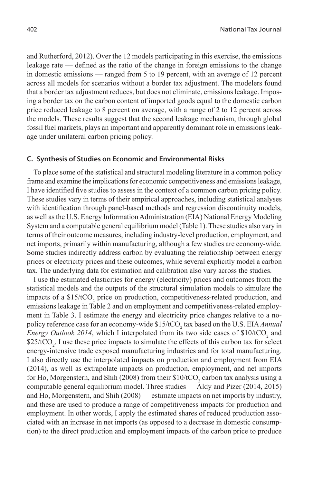and Rutherford, 2012). Over the 12 models participating in this exercise, the emissions leakage rate — defined as the ratio of the change in foreign emissions to the change in domestic emissions — ranged from 5 to 19 percent, with an average of 12 percent across all models for scenarios without a border tax adjustment. The modelers found that a border tax adjustment reduces, but does not eliminate, emissions leakage. Imposing a border tax on the carbon content of imported goods equal to the domestic carbon price reduced leakage to 8 percent on average, with a range of 2 to 12 percent across the models. These results suggest that the second leakage mechanism, through global fossil fuel markets, plays an important and apparently dominant role in emissions leakage under unilateral carbon pricing policy.

#### **C. Synthesis of Studies on Economic and Environmental Risks**

To place some of the statistical and structural modeling literature in a common policy frame and examine the implications for economic competitiveness and emissions leakage, I have identified five studies to assess in the context of a common carbon pricing policy. These studies vary in terms of their empirical approaches, including statistical analyses with identification through panel-based methods and regression discontinuity models, as well as the U.S. Energy Information Administration (EIA) National Energy Modeling System and a computable general equilibrium model (Table 1). These studies also vary in terms of their outcome measures, including industry-level production, employment, and net imports, primarily within manufacturing, although a few studies are economy-wide. Some studies indirectly address carbon by evaluating the relationship between energy prices or electricity prices and these outcomes, while several explicitly model a carbon tax. The underlying data for estimation and calibration also vary across the studies.

I use the estimated elasticities for energy (electricity) prices and outcomes from the statistical models and the outputs of the structural simulation models to simulate the impacts of a  $$15/tCO<sub>2</sub>$  price on production, competitiveness-related production, and emissions leakage in Table 2 and on employment and competitiveness-related employment in Table 3. I estimate the energy and electricity price changes relative to a nopolicy reference case for an economy-wide \$15/tCO<sub>2</sub> tax based on the U.S. EIA *Annual Energy Outlook 2014*, which I interpolated from its two side cases of  $$10/tCO<sub>2</sub>$  and  $$25/tCO<sub>2</sub>$ . I use these price impacts to simulate the effects of this carbon tax for select energy-intensive trade exposed manufacturing industries and for total manufacturing. I also directly use the interpolated impacts on production and employment from EIA (2014), as well as extrapolate impacts on production, employment, and net imports for Ho, Morgenstern, and Shih (2008) from their  $$10/tCO_2$  carbon tax analysis using a computable general equilibrium model. Three studies — Aldy and Pizer (2014, 2015) and Ho, Morgenstern, and Shih (2008) — estimate impacts on net imports by industry, and these are used to produce a range of competitiveness impacts for production and employment. In other words, I apply the estimated shares of reduced production associated with an increase in net imports (as opposed to a decrease in domestic consumption) to the direct production and employment impacts of the carbon price to produce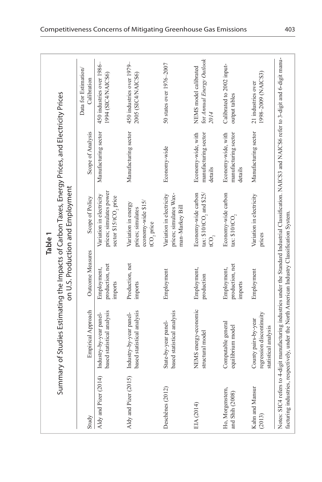|                                     |                                                                                                  |                                           | Table <sup>-</sup>                                                                       |                                                       |                                                                                                                                                           |
|-------------------------------------|--------------------------------------------------------------------------------------------------|-------------------------------------------|------------------------------------------------------------------------------------------|-------------------------------------------------------|-----------------------------------------------------------------------------------------------------------------------------------------------------------|
|                                     | Summary of Studies Estimating the Impacts of Carbon Taxes, Energy Prices, and Electricity Prices |                                           | on U.S. Production and Employment                                                        |                                                       |                                                                                                                                                           |
| Study                               | Empirical Approach                                                                               | Outcome Measures                          | Scope of Policy                                                                          | Scope of Analysis                                     | Data for Estimation/<br>Calibration                                                                                                                       |
| Aldy and Pizer (2014)               | based statistical analysis<br>Industry-by-year panel-                                            | production, net<br>Employment,<br>imports | prices; simulates power<br>Variation in electricity<br>sector \$15/tCO, price            | Manufacturing sector                                  | 450 industries over 1986-<br>1994 (SIC4/NAICS6)                                                                                                           |
| Aldy and Pizer (2015)               | based statistical analysis<br>Industry-by-year panel-                                            | Production, net<br>imports                | economy-wide \$15/<br>Variation in energy<br>prices; simulates<br>tCO <sub>2</sub> price | Manufacturing sector                                  | 450 industries over 1979-<br>2005 (SIC4/NAICS6)                                                                                                           |
| Deschênes (2012)                    | based statistical analysis<br>State-by-year panel-                                               | Employment                                | Variation in electricity<br>prices; simulates Wax-<br>man-Markey Bill                    | Economy-wide                                          | 50 states over 1976-2007                                                                                                                                  |
| EIA (2014)                          | NEMS energy-economic<br>structural model                                                         | Employment,<br>production                 | Economy-wide carbon<br>tax: $$10/tCO$ , and $$25/$<br>C)                                 | manufacturing sector<br>Economy-wide, with<br>details | for Annual Energy Outlook<br>NEMS model calibrated<br>2014                                                                                                |
| Ho, Morgenstern.<br>and Shih (2008) | Computable general<br>equilibrium model                                                          | production, net<br>Employment,<br>imports | Economy-wide carbon<br>tax: $$10/tCO2$                                                   | Economy-wide, with<br>manufacturing sector<br>details | Calibrated to 2002 input-<br>output tables                                                                                                                |
| Kahn and Mansur<br>(2013)           | regression discontinuity<br>County pairs-by-year<br>statistical analysis                         | Employment                                | Variation in electricity<br>prices                                                       | Manufacturing sector                                  | 1998–2009 (NAICS3)<br>21 industries over                                                                                                                  |
|                                     | acturing industries, respectively, under the North American Industry Classification System       |                                           |                                                                                          |                                                       | Notes: SIC4 refers to 4-digit manufacturing industries under the Standard Industrial Classification. NAICS3 and NAICS6 refer to 3-digit and 6-digit manu- |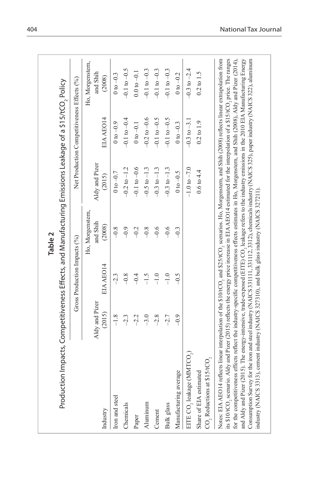| Production Impacts, Competitiveness Effects, and Manufacturing Emissions Leakage of a \$15/tCO , Policy                                                                                                                                                                                                                                                                                                                                                                                                                                                                                                                                                                                                                                                                                                                                                                                                            |                |                              | Table 2                      |                  |                                            |                              |
|--------------------------------------------------------------------------------------------------------------------------------------------------------------------------------------------------------------------------------------------------------------------------------------------------------------------------------------------------------------------------------------------------------------------------------------------------------------------------------------------------------------------------------------------------------------------------------------------------------------------------------------------------------------------------------------------------------------------------------------------------------------------------------------------------------------------------------------------------------------------------------------------------------------------|----------------|------------------------------|------------------------------|------------------|--------------------------------------------|------------------------------|
|                                                                                                                                                                                                                                                                                                                                                                                                                                                                                                                                                                                                                                                                                                                                                                                                                                                                                                                    |                | Gross Production Impacts (%) |                              |                  | Net Production Competitiveness Effects (%) |                              |
|                                                                                                                                                                                                                                                                                                                                                                                                                                                                                                                                                                                                                                                                                                                                                                                                                                                                                                                    | Aldy and Pizer |                              | Ho, Morgenstern,<br>and Shih | Aldy and Pizer   |                                            | Ho, Morgenstern,<br>and Shih |
| Industry                                                                                                                                                                                                                                                                                                                                                                                                                                                                                                                                                                                                                                                                                                                                                                                                                                                                                                           | (2015)         | EIA AEO14                    | (2008)                       | (2015)           | EIA AEO14                                  | (2008)                       |
| Iron and steel                                                                                                                                                                                                                                                                                                                                                                                                                                                                                                                                                                                                                                                                                                                                                                                                                                                                                                     | $-1.8$         | $-2.3$                       | $-0.8$                       | $0 to -0.7$      | $0 \text{ to } -0.9$                       | $0 to -0.3$                  |
| Chemicals                                                                                                                                                                                                                                                                                                                                                                                                                                                                                                                                                                                                                                                                                                                                                                                                                                                                                                          | $-2.3$         | $-0.8$                       | $-0.9$                       | $-0.2$ to $-1.2$ | $-0.1$ to $-0.4$                           | $-0.1$ to $-0.5$             |
| Paper                                                                                                                                                                                                                                                                                                                                                                                                                                                                                                                                                                                                                                                                                                                                                                                                                                                                                                              | $-2.2$         | $-0.4$                       | $-0.2$                       | $-0.1$ to $-0.6$ | $0 to -0.1$                                | $0.0 to -0.1$                |
| Aluminum                                                                                                                                                                                                                                                                                                                                                                                                                                                                                                                                                                                                                                                                                                                                                                                                                                                                                                           | $-3.0$         | $-1.5$                       | $-0.8$                       | $-0.5$ to $-1.3$ | $-0.2$ to $-0.6$                           | $-0.1$ to $-0.3$             |
| Cement                                                                                                                                                                                                                                                                                                                                                                                                                                                                                                                                                                                                                                                                                                                                                                                                                                                                                                             | $-2.8$         | $-1.0$                       | $-0.6$                       | $-0.3$ to $-1.3$ | $-0.1$ to $-0.5$                           | $-0.1$ to $-0.3$             |
| Bulk glass                                                                                                                                                                                                                                                                                                                                                                                                                                                                                                                                                                                                                                                                                                                                                                                                                                                                                                         | $-2.7$         | $-1.0$                       | $-0.6$                       | $-0.3$ to $-1.3$ | $-0.1$ to $-0.5$                           | $-0.1$ to $-0.3$             |
| Manufacturing average                                                                                                                                                                                                                                                                                                                                                                                                                                                                                                                                                                                                                                                                                                                                                                                                                                                                                              | $-0.9$         | $-0.5$                       | $-0.3$                       | $0 to -0.5$      | $0 to -0.3$                                | $0 to -0.2$                  |
| EITE CO, leakage (MMTCO,)                                                                                                                                                                                                                                                                                                                                                                                                                                                                                                                                                                                                                                                                                                                                                                                                                                                                                          |                |                              |                              | $-1.0$ to $-7.0$ | $-0.3$ to $-3.1$                           | $-0.3$ to $-2.4$             |
| CO, Reductions at \$15/tCO,<br>Share of EIA estimated                                                                                                                                                                                                                                                                                                                                                                                                                                                                                                                                                                                                                                                                                                                                                                                                                                                              |                |                              |                              | 0.6 to 4.4       | $0.2 \text{ to } 1.9$                      | $0.2 \text{ to } 1.5$        |
| its \$10/tCO, scenario. Aldy and Pizer (2015) reflects the energy price increase in EIA AEO14 estimated for the interpolation of a \$15/tCO, price. The ranges<br>and Aldy and Pizer (2015). The energy-intensive, trade-exposed (EITE) CO, leakage refers to the industry emissions in the 2010 EIA Manufacturing Energy<br>Notes: EIA AEO14 reflects linear interpolation of the \$10/tCO, and \$25/tCO, scenarios. Ho, Morgenstern, and Shih (2008) reflects linear extrapolation from<br>for the competitiveness effects reflect the industry-specific competitiveness effects estimates in Ho, Morgenstern, and Shih (2008), Aldy and Pizer (2014),<br>Consumption Survey for the iron and steel industry (NAICS 331111, 331112, 3312), chemicals industry (NAICS 325), paper industry (NAICS 322), aluminum<br>industry (NAICS 3313), cement industry (NAICS 327310), and bulk glass industry (NAICS 327211) |                |                              |                              |                  |                                            |                              |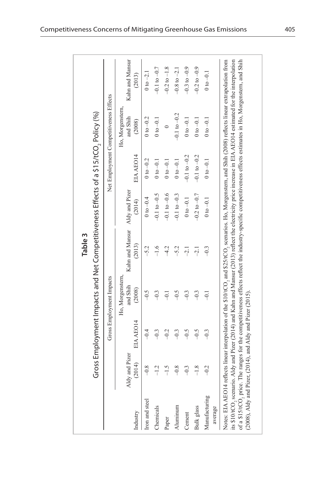|                          |                |                                                                     |                             | Gross Employment Impacts and Net Competitiveness Effects of a \$15/tCO, Policy (%)<br>Table <sub>3</sub>                                                                                                                                                                                                                                                                                                                                                                                      |                  |                                        |                              |                      |
|--------------------------|----------------|---------------------------------------------------------------------|-----------------------------|-----------------------------------------------------------------------------------------------------------------------------------------------------------------------------------------------------------------------------------------------------------------------------------------------------------------------------------------------------------------------------------------------------------------------------------------------------------------------------------------------|------------------|----------------------------------------|------------------------------|----------------------|
|                          |                |                                                                     | Gross Employment Impacts    |                                                                                                                                                                                                                                                                                                                                                                                                                                                                                               |                  | Net Employment Competitiveness Effects |                              |                      |
|                          | Aldy and Pizer |                                                                     | Ho, Morgenstern<br>and Shih | Kahn and Mansur Aldy and Pizer                                                                                                                                                                                                                                                                                                                                                                                                                                                                |                  |                                        | Ho, Morgenstern,<br>and Shih | Kahn and Mansur      |
| Industry                 | (2014)         | EIA AEO14                                                           | (2008)                      | (2013)                                                                                                                                                                                                                                                                                                                                                                                                                                                                                        | (2014)           | EIA AEO14                              | (2008)                       | (2013)               |
| Iron and steel           | $-0.8$         | $-0.4$                                                              | $-0.5$                      | $-5.2$                                                                                                                                                                                                                                                                                                                                                                                                                                                                                        | $0 to -0.4$      | $0 to -0.2$                            | $0$ to $-0.2$                | $0 \text{ to } -2.1$ |
| Chemicals                | $-1.2$         | $-0.3$                                                              | $-9.3$                      | $-1.6$                                                                                                                                                                                                                                                                                                                                                                                                                                                                                        | $-0.1$ to $-0.5$ | $0 \text{ to } -0.1$                   | $0 to -0.1$                  | $-0.1$ to $-0.7$     |
| Paper                    | $-1.5$         | $-0.2$                                                              | $\overline{a}$              | $-4.2$                                                                                                                                                                                                                                                                                                                                                                                                                                                                                        | $-0.1$ to $-0.6$ | $0 \text{ to } -0.1$                   |                              | $-0.2$ to $-1.8$     |
| Aluminum                 | $-0.8$         | $-0.3$                                                              | $-9.5$                      | $-5.2$                                                                                                                                                                                                                                                                                                                                                                                                                                                                                        | $-0.1$ to $-0.3$ | $0 \text{ to } -0.1$                   | $-0.1$ to $-0.2$             | $-0.8$ to $-2.1$     |
| Cement                   | $-0.3$         | $-0.5$                                                              | $-0.3$                      | $-2.1$                                                                                                                                                                                                                                                                                                                                                                                                                                                                                        | $0 to -0.1$      | $-0.1$ to $-0.2$                       | $0 to -0.1$                  | $-0.3$ to $-0.9$     |
| <b>Bulk</b> glass        | $-1.8$         | $-0.5$                                                              | $-0.3$                      | $-2.1$                                                                                                                                                                                                                                                                                                                                                                                                                                                                                        | $-0.2$ to $-0.7$ | $-0.1$ to $-0.2$                       | $0 to -0.1$                  | $-0.2$ to $-0.9$     |
| Manufacturing<br>average | $-0.2$         | $-0.3$                                                              | $\overline{a}$              | $-0.3$                                                                                                                                                                                                                                                                                                                                                                                                                                                                                        | $0 to -0.1$      | $0 \text{ to } -0.1$                   | $0 to -0.1$                  | $0 \text{ to } -0.1$ |
|                          |                | $(2008)$ , Aldy and Pizer, $(2014)$ , and Aldy and Pizer $(2015)$ . |                             | of a \$15/tCO, price. The ranges for the competitiveness effects reflect the industry-specific competitiveness effects estimates in Ho, Morgenstern, and Shih<br>its \$10/tCO, scenario. Aldy and Pizer (2014) and Kahn and Mansur (2013) reflect the electricity price increase in EIA AEO14 estimated for the interpolation<br>Notes: EIA AEO14 reflects linear interpolation of the \$10/tCO, and \$25/tCO, scenarios. Ho, Morgenstern, and Shih (2008) reflects linear extrapolation from |                  |                                        |                              |                      |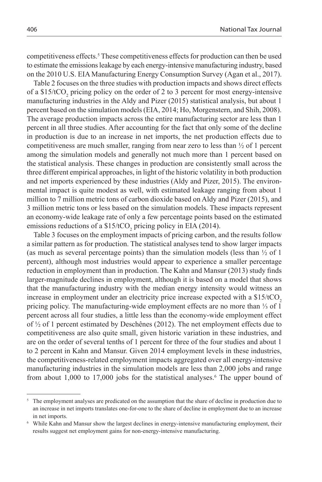competitiveness effects.<sup>5</sup> These competitiveness effects for production can then be used to estimate the emissions leakage by each energy-intensive manufacturing industry, based on the 2010 U.S. EIA Manufacturing Energy Consumption Survey (Agan et al., 2017).

Table 2 focuses on the three studies with production impacts and shows direct effects of a \$15/tCO<sub>2</sub> pricing policy on the order of 2 to 3 percent for most energy-intensive manufacturing industries in the Aldy and Pizer (2015) statistical analysis, but about 1 percent based on the simulation models (EIA, 2014; Ho, Morgenstern, and Shih, 2008). The average production impacts across the entire manufacturing sector are less than 1 percent in all three studies. After accounting for the fact that only some of the decline in production is due to an increase in net imports, the net production effects due to competitiveness are much smaller, ranging from near zero to less than  $\frac{1}{2}$  of 1 percent among the simulation models and generally not much more than 1 percent based on the statistical analysis. These changes in production are consistently small across the three different empirical approaches, in light of the historic volatility in both production and net imports experienced by these industries (Aldy and Pizer, 2015). The environmental impact is quite modest as well, with estimated leakage ranging from about 1 million to 7 million metric tons of carbon dioxide based on Aldy and Pizer (2015), and 3 million metric tons or less based on the simulation models. These impacts represent an economy-wide leakage rate of only a few percentage points based on the estimated emissions reductions of a  $$15/tCO<sub>2</sub>$  pricing policy in EIA (2014).

Table 3 focuses on the employment impacts of pricing carbon, and the results follow a similar pattern as for production. The statistical analyses tend to show larger impacts (as much as several percentage points) than the simulation models (less than  $\frac{1}{2}$  of 1 percent), although most industries would appear to experience a smaller percentage reduction in employment than in production. The Kahn and Mansur (2013) study finds larger-magnitude declines in employment, although it is based on a model that shows that the manufacturing industry with the median energy intensity would witness an increase in employment under an electricity price increase expected with a  $$15/tCO$ <sub>2</sub> pricing policy. The manufacturing-wide employment effects are no more than ⅓ of 1 percent across all four studies, a little less than the economy-wide employment effect of  $\frac{1}{2}$  of 1 percent estimated by Deschênes (2012). The net employment effects due to competitiveness are also quite small, given historic variation in these industries, and are on the order of several tenths of 1 percent for three of the four studies and about 1 to 2 percent in Kahn and Mansur. Given 2014 employment levels in these industries, the competitiveness-related employment impacts aggregated over all energy-intensive manufacturing industries in the simulation models are less than 2,000 jobs and range from about 1,000 to 17,000 jobs for the statistical analyses.<sup>6</sup> The upper bound of

<sup>&</sup>lt;sup>5</sup> The employment analyses are predicated on the assumption that the share of decline in production due to an increase in net imports translates one-for-one to the share of decline in employment due to an increase in net imports.

While Kahn and Mansur show the largest declines in energy-intensive manufacturing employment, their results suggest net employment gains for non-energy-intensive manufacturing.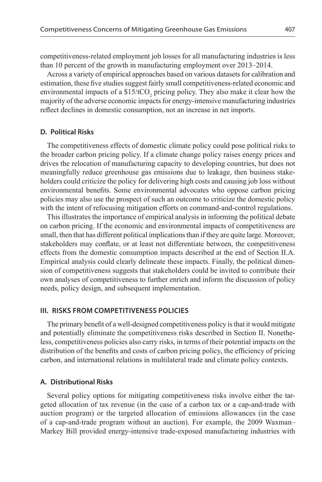competitiveness-related employment job losses for all manufacturing industries is less than 10 percent of the growth in manufacturing employment over 2013–2014.

Across a variety of empirical approaches based on various datasets for calibration and estimation, these five studies suggest fairly small competitiveness-related economic and environmental impacts of a  $$15/1CO<sub>2</sub>$  pricing policy. They also make it clear how the majority of the adverse economic impacts for energy-intensive manufacturing industries reflect declines in domestic consumption, not an increase in net imports.

### **D. Political Risks**

The competitiveness effects of domestic climate policy could pose political risks to the broader carbon pricing policy. If a climate change policy raises energy prices and drives the relocation of manufacturing capacity to developing countries, but does not meaningfully reduce greenhouse gas emissions due to leakage, then business stakeholders could criticize the policy for delivering high costs and causing job loss without environmental benefits. Some environmental advocates who oppose carbon pricing policies may also use the prospect of such an outcome to criticize the domestic policy with the intent of refocusing mitigation efforts on command-and-control regulations.

This illustrates the importance of empirical analysis in informing the political debate on carbon pricing. If the economic and environmental impacts of competitiveness are small, then that has different political implications than if they are quite large. Moreover, stakeholders may conflate, or at least not differentiate between, the competitiveness effects from the domestic consumption impacts described at the end of Section II.A. Empirical analysis could clearly delineate these impacts. Finally, the political dimension of competitiveness suggests that stakeholders could be invited to contribute their own analyses of competitiveness to further enrich and inform the discussion of policy needs, policy design, and subsequent implementation.

# **III. RISKS FROM COMPETITIVENESS POLICIES**

The primary benefit of a well-designed competitiveness policy is that it would mitigate and potentially eliminate the competitiveness risks described in Section II. Nonetheless, competitiveness policies also carry risks, in terms of their potential impacts on the distribution of the benefits and costs of carbon pricing policy, the efficiency of pricing carbon, and international relations in multilateral trade and climate policy contexts.

#### **A. Distributional Risks**

Several policy options for mitigating competitiveness risks involve either the targeted allocation of tax revenue (in the case of a carbon tax or a cap-and-trade with auction program) or the targeted allocation of emissions allowances (in the case of a cap-and-trade program without an auction). For example, the 2009 Waxman– Markey Bill provided energy-intensive trade-exposed manufacturing industries with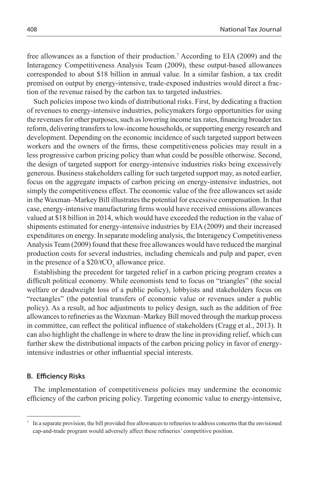free allowances as a function of their production.7 According to EIA (2009) and the Interagency Competitiveness Analysis Team (2009), these output-based allowances corresponded to about \$18 billion in annual value. In a similar fashion, a tax credit premised on output by energy-intensive, trade-exposed industries would direct a fraction of the revenue raised by the carbon tax to targeted industries.

Such policies impose two kinds of distributional risks. First, by dedicating a fraction of revenues to energy-intensive industries, policymakers forgo opportunities for using the revenues for other purposes, such as lowering income tax rates, financing broader tax reform, delivering transfers to low-income households, or supporting energy research and development. Depending on the economic incidence of such targeted support between workers and the owners of the firms, these competitiveness policies may result in a less progressive carbon pricing policy than what could be possible otherwise. Second, the design of targeted support for energy-intensive industries risks being excessively generous. Business stakeholders calling for such targeted support may, as noted earlier, focus on the aggregate impacts of carbon pricing on energy-intensive industries, not simply the competitiveness effect. The economic value of the free allowances set aside in the Waxman–Markey Bill illustrates the potential for excessive compensation. In that case, energy-intensive manufacturing firms would have received emissions allowances valued at \$18 billion in 2014, which would have exceeded the reduction in the value of shipments estimated for energy-intensive industries by EIA (2009) and their increased expenditures on energy. In separate modeling analysis, the Interagency Competitiveness Analysis Team (2009) found that these free allowances would have reduced the marginal production costs for several industries, including chemicals and pulp and paper, even in the presence of a  $$20/tCO<sub>2</sub>$  allowance price.

Establishing the precedent for targeted relief in a carbon pricing program creates a difficult political economy. While economists tend to focus on "triangles" (the social welfare or deadweight loss of a public policy), lobbyists and stakeholders focus on "rectangles" (the potential transfers of economic value or revenues under a public policy). As a result, ad hoc adjustments to policy design, such as the addition of free allowances to refineries as the Waxman–Markey Bill moved through the markup process in committee, can reflect the political influence of stakeholders (Cragg et al., 2013). It can also highlight the challenge in where to draw the line in providing relief, which can further skew the distributional impacts of the carbon pricing policy in favor of energyintensive industries or other influential special interests.

#### **B. Efficiency Risks**

The implementation of competitiveness policies may undermine the economic efficiency of the carbon pricing policy. Targeting economic value to energy-intensive,

In a separate provision, the bill provided free allowances to refineries to address concerns that the envisioned cap-and-trade program would adversely affect these refineries' competitive position.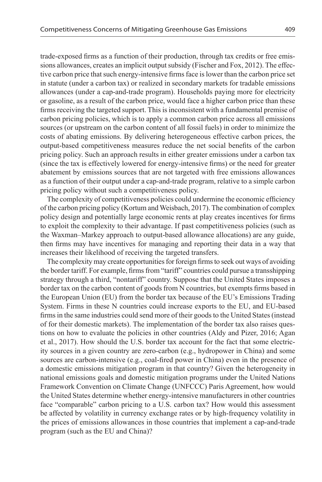trade-exposed firms as a function of their production, through tax credits or free emissions allowances, creates an implicit output subsidy (Fischer and Fox, 2012). The effective carbon price that such energy-intensive firms face is lower than the carbon price set in statute (under a carbon tax) or realized in secondary markets for tradable emissions allowances (under a cap-and-trade program). Households paying more for electricity or gasoline, as a result of the carbon price, would face a higher carbon price than these firms receiving the targeted support. This is inconsistent with a fundamental premise of carbon pricing policies, which is to apply a common carbon price across all emissions sources (or upstream on the carbon content of all fossil fuels) in order to minimize the costs of abating emissions. By delivering heterogeneous effective carbon prices, the output-based competitiveness measures reduce the net social benefits of the carbon pricing policy. Such an approach results in either greater emissions under a carbon tax (since the tax is effectively lowered for energy-intensive firms) or the need for greater abatement by emissions sources that are not targeted with free emissions allowances as a function of their output under a cap-and-trade program, relative to a simple carbon pricing policy without such a competitiveness policy.

The complexity of competitiveness policies could undermine the economic efficiency of the carbon pricing policy (Kortum and Weisbach, 2017). The combination of complex policy design and potentially large economic rents at play creates incentives for firms to exploit the complexity to their advantage. If past competitiveness policies (such as the Waxman–Markey approach to output-based allowance allocations) are any guide, then firms may have incentives for managing and reporting their data in a way that increases their likelihood of receiving the targeted transfers.

The complexity may create opportunities for foreign firms to seek out ways of avoiding the border tariff. For example, firms from "tariff" countries could pursue a transshipping strategy through a third, "nontariff" country. Suppose that the United States imposes a border tax on the carbon content of goods from N countries, but exempts firms based in the European Union (EU) from the border tax because of the EU's Emissions Trading System. Firms in these N countries could increase exports to the EU, and EU-based firms in the same industries could send more of their goods to the United States (instead of for their domestic markets). The implementation of the border tax also raises questions on how to evaluate the policies in other countries (Aldy and Pizer, 2016; Agan et al., 2017). How should the U.S. border tax account for the fact that some electricity sources in a given country are zero-carbon (e.g., hydropower in China) and some sources are carbon-intensive (e.g., coal-fired power in China) even in the presence of a domestic emissions mitigation program in that country? Given the heterogeneity in national emissions goals and domestic mitigation programs under the United Nations Framework Convention on Climate Change (UNFCCC) Paris Agreement, how would the United States determine whether energy-intensive manufacturers in other countries face "comparable" carbon pricing to a U.S. carbon tax? How would this assessment be affected by volatility in currency exchange rates or by high-frequency volatility in the prices of emissions allowances in those countries that implement a cap-and-trade program (such as the EU and China)?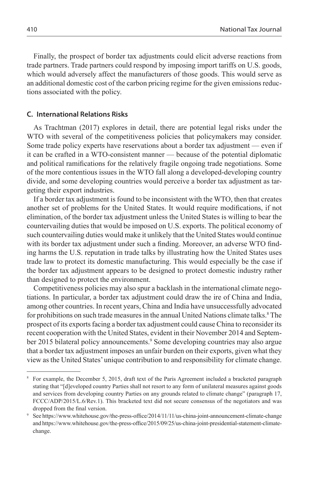Finally, the prospect of border tax adjustments could elicit adverse reactions from trade partners. Trade partners could respond by imposing import tariffs on U.S. goods, which would adversely affect the manufacturers of those goods. This would serve as an additional domestic cost of the carbon pricing regime for the given emissions reductions associated with the policy.

# **C. International Relations Risks**

As Trachtman (2017) explores in detail, there are potential legal risks under the WTO with several of the competitiveness policies that policymakers may consider. Some trade policy experts have reservations about a border tax adjustment — even if it can be crafted in a WTO-consistent manner — because of the potential diplomatic and political ramifications for the relatively fragile ongoing trade negotiations. Some of the more contentious issues in the WTO fall along a developed-developing country divide, and some developing countries would perceive a border tax adjustment as targeting their export industries.

If a border tax adjustment is found to be inconsistent with the WTO, then that creates another set of problems for the United States. It would require modifications, if not elimination, of the border tax adjustment unless the United States is willing to bear the countervailing duties that would be imposed on U.S. exports. The political economy of such countervailing duties would make it unlikely that the United States would continue with its border tax adjustment under such a finding. Moreover, an adverse WTO finding harms the U.S. reputation in trade talks by illustrating how the United States uses trade law to protect its domestic manufacturing. This would especially be the case if the border tax adjustment appears to be designed to protect domestic industry rather than designed to protect the environment.

Competitiveness policies may also spur a backlash in the international climate negotiations. In particular, a border tax adjustment could draw the ire of China and India, among other countries. In recent years, China and India have unsuccessfully advocated for prohibitions on such trade measures in the annual United Nations climate talks.<sup>8</sup> The prospect of its exports facing a border tax adjustment could cause China to reconsider its recent cooperation with the United States, evident in their November 2014 and September 2015 bilateral policy announcements.<sup>9</sup> Some developing countries may also argue that a border tax adjustment imposes an unfair burden on their exports, given what they view as the United States' unique contribution to and responsibility for climate change.

<sup>8</sup> For example, the December 5, 2015, draft text of the Paris Agreement included a bracketed paragraph stating that "[d]eveloped country Parties shall not resort to any form of unilateral measures against goods and services from developing country Parties on any grounds related to climate change" (paragraph 17, FCCC/ADP/2015/L.6/Rev.1). This bracketed text did not secure consensus of the negotiators and was dropped from the final version.

<sup>9</sup> See https://www.whitehouse.gov/the-press-office/2014/11/11/us-china-joint-announcement-climate-change and https://www.whitehouse.gov/the-press-office/2015/09/25/us-china-joint-presidential-statement-climatechange.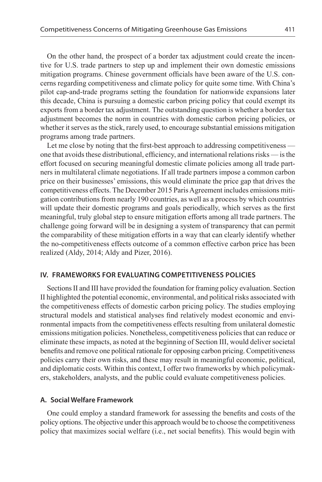On the other hand, the prospect of a border tax adjustment could create the incentive for U.S. trade partners to step up and implement their own domestic emissions mitigation programs. Chinese government officials have been aware of the U.S. concerns regarding competitiveness and climate policy for quite some time. With China's pilot cap-and-trade programs setting the foundation for nationwide expansions later this decade, China is pursuing a domestic carbon pricing policy that could exempt its exports from a border tax adjustment. The outstanding question is whether a border tax adjustment becomes the norm in countries with domestic carbon pricing policies, or whether it serves as the stick, rarely used, to encourage substantial emissions mitigation programs among trade partners.

Let me close by noting that the first-best approach to addressing competitiveness one that avoids these distributional, efficiency, and international relations risks — is the effort focused on securing meaningful domestic climate policies among all trade partners in multilateral climate negotiations. If all trade partners impose a common carbon price on their businesses' emissions, this would eliminate the price gap that drives the competitiveness effects. The December 2015 Paris Agreement includes emissions mitigation contributions from nearly 190 countries, as well as a process by which countries will update their domestic programs and goals periodically, which serves as the first meaningful, truly global step to ensure mitigation efforts among all trade partners. The challenge going forward will be in designing a system of transparency that can permit the comparability of these mitigation efforts in a way that can clearly identify whether the no-competitiveness effects outcome of a common effective carbon price has been realized (Aldy, 2014; Aldy and Pizer, 2016).

#### **IV. FRAMEWORKS FOR EVALUATING COMPETITIVENESS POLICIES**

Sections II and III have provided the foundation for framing policy evaluation. Section II highlighted the potential economic, environmental, and political risks associated with the competitiveness effects of domestic carbon pricing policy. The studies employing structural models and statistical analyses find relatively modest economic and environmental impacts from the competitiveness effects resulting from unilateral domestic emissions mitigation policies. Nonetheless, competitiveness policies that can reduce or eliminate these impacts, as noted at the beginning of Section III, would deliver societal benefits and remove one political rationale for opposing carbon pricing. Competitiveness policies carry their own risks, and these may result in meaningful economic, political, and diplomatic costs. Within this context, I offer two frameworks by which policymakers, stakeholders, analysts, and the public could evaluate competitiveness policies.

#### **A. Social Welfare Framework**

One could employ a standard framework for assessing the benefits and costs of the policy options. The objective under this approach would be to choose the competitiveness policy that maximizes social welfare (i.e., net social benefits). This would begin with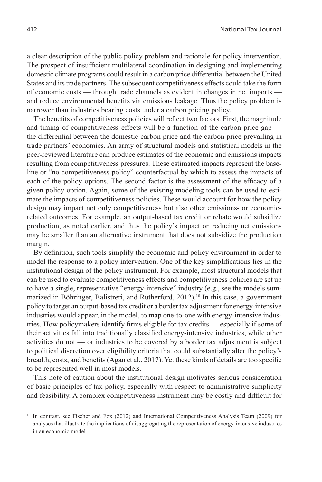a clear description of the public policy problem and rationale for policy intervention. The prospect of insufficient multilateral coordination in designing and implementing domestic climate programs could result in a carbon price differential between the United States and its trade partners. The subsequent competitiveness effects could take the form of economic costs — through trade channels as evident in changes in net imports and reduce environmental benefits via emissions leakage. Thus the policy problem is narrower than industries bearing costs under a carbon pricing policy.

The benefits of competitiveness policies will reflect two factors. First, the magnitude and timing of competitiveness effects will be a function of the carbon price gap the differential between the domestic carbon price and the carbon price prevailing in trade partners' economies. An array of structural models and statistical models in the peer-reviewed literature can produce estimates of the economic and emissions impacts resulting from competitiveness pressures. These estimated impacts represent the baseline or "no competitiveness policy" counterfactual by which to assess the impacts of each of the policy options. The second factor is the assessment of the efficacy of a given policy option. Again, some of the existing modeling tools can be used to estimate the impacts of competitiveness policies. These would account for how the policy design may impact not only competitiveness but also other emissions- or economicrelated outcomes. For example, an output-based tax credit or rebate would subsidize production, as noted earlier, and thus the policy's impact on reducing net emissions may be smaller than an alternative instrument that does not subsidize the production margin.

By definition, such tools simplify the economic and policy environment in order to model the response to a policy intervention. One of the key simplifications lies in the institutional design of the policy instrument. For example, most structural models that can be used to evaluate competitiveness effects and competitiveness policies are set up to have a single, representative "energy-intensive" industry (e.g., see the models summarized in Böhringer, Balistreri, and Rutherford, 2012).<sup>10</sup> In this case, a government policy to target an output-based tax credit or a border tax adjustment for energy-intensive industries would appear, in the model, to map one-to-one with energy-intensive industries. How policymakers identify firms eligible for tax credits — especially if some of their activities fall into traditionally classified energy-intensive industries, while other activities do not — or industries to be covered by a border tax adjustment is subject to political discretion over eligibility criteria that could substantially alter the policy's breadth, costs, and benefits (Agan et al., 2017). Yet these kinds of details are too specific to be represented well in most models.

This note of caution about the institutional design motivates serious consideration of basic principles of tax policy, especially with respect to administrative simplicity and feasibility. A complex competitiveness instrument may be costly and difficult for

<sup>&</sup>lt;sup>10</sup> In contrast, see Fischer and Fox (2012) and International Competitiveness Analysis Team (2009) for analyses that illustrate the implications of disaggregating the representation of energy-intensive industries in an economic model.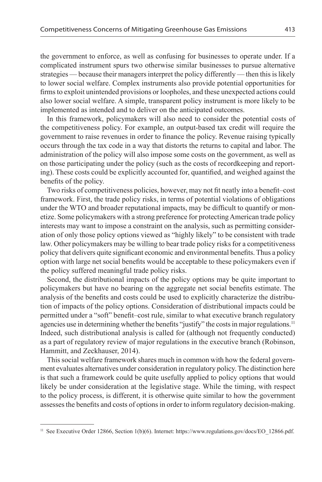the government to enforce, as well as confusing for businesses to operate under. If a complicated instrument spurs two otherwise similar businesses to pursue alternative strategies — because their managers interpret the policy differently — then this is likely to lower social welfare. Complex instruments also provide potential opportunities for firms to exploit unintended provisions or loopholes, and these unexpected actions could also lower social welfare. A simple, transparent policy instrument is more likely to be implemented as intended and to deliver on the anticipated outcomes.

In this framework, policymakers will also need to consider the potential costs of the competitiveness policy. For example, an output-based tax credit will require the government to raise revenues in order to finance the policy. Revenue raising typically occurs through the tax code in a way that distorts the returns to capital and labor. The administration of the policy will also impose some costs on the government, as well as on those participating under the policy (such as the costs of recordkeeping and reporting). These costs could be explicitly accounted for, quantified, and weighed against the benefits of the policy.

Two risks of competitiveness policies, however, may not fit neatly into a benefit–cost framework. First, the trade policy risks, in terms of potential violations of obligations under the WTO and broader reputational impacts, may be difficult to quantify or monetize. Some policymakers with a strong preference for protecting American trade policy interests may want to impose a constraint on the analysis, such as permitting consideration of only those policy options viewed as "highly likely" to be consistent with trade law. Other policymakers may be willing to bear trade policy risks for a competitiveness policy that delivers quite significant economic and environmental benefits. Thus a policy option with large net social benefits would be acceptable to these policymakers even if the policy suffered meaningful trade policy risks.

Second, the distributional impacts of the policy options may be quite important to policymakers but have no bearing on the aggregate net social benefits estimate. The analysis of the benefits and costs could be used to explicitly characterize the distribution of impacts of the policy options. Consideration of distributional impacts could be permitted under a "soft" benefit–cost rule, similar to what executive branch regulatory agencies use in determining whether the benefits "justify" the costs in major regulations.<sup>11</sup> Indeed, such distributional analysis is called for (although not frequently conducted) as a part of regulatory review of major regulations in the executive branch (Robinson, Hammitt, and Zeckhauser, 2014).

This social welfare framework shares much in common with how the federal government evaluates alternatives under consideration in regulatory policy. The distinction here is that such a framework could be quite usefully applied to policy options that would likely be under consideration at the legislative stage. While the timing, with respect to the policy process, is different, it is otherwise quite similar to how the government assesses the benefits and costs of options in order to inform regulatory decision-making.

<sup>11</sup> See Executive Order 12866, Section 1(b)(6). Internet: https://www.regulations.gov/docs/EO\_12866.pdf.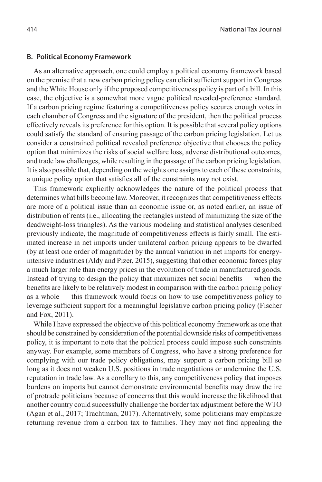#### **B. Political Economy Framework**

As an alternative approach, one could employ a political economy framework based on the premise that a new carbon pricing policy can elicit sufficient support in Congress and the White House only if the proposed competitiveness policy is part of a bill. In this case, the objective is a somewhat more vague political revealed-preference standard. If a carbon pricing regime featuring a competitiveness policy secures enough votes in each chamber of Congress and the signature of the president, then the political process effectively reveals its preference for this option. It is possible that several policy options could satisfy the standard of ensuring passage of the carbon pricing legislation. Let us consider a constrained political revealed preference objective that chooses the policy option that minimizes the risks of social welfare loss, adverse distributional outcomes, and trade law challenges, while resulting in the passage of the carbon pricing legislation. It is also possible that, depending on the weights one assigns to each of these constraints, a unique policy option that satisfies all of the constraints may not exist.

This framework explicitly acknowledges the nature of the political process that determines what bills become law. Moreover, it recognizes that competitiveness effects are more of a political issue than an economic issue or, as noted earlier, an issue of distribution of rents (i.e., allocating the rectangles instead of minimizing the size of the deadweight-loss triangles). As the various modeling and statistical analyses described previously indicate, the magnitude of competitiveness effects is fairly small. The estimated increase in net imports under unilateral carbon pricing appears to be dwarfed (by at least one order of magnitude) by the annual variation in net imports for energyintensive industries (Aldy and Pizer, 2015), suggesting that other economic forces play a much larger role than energy prices in the evolution of trade in manufactured goods. Instead of trying to design the policy that maximizes net social benefits — when the benefits are likely to be relatively modest in comparison with the carbon pricing policy as a whole — this framework would focus on how to use competitiveness policy to leverage sufficient support for a meaningful legislative carbon pricing policy (Fischer and Fox, 2011).

While I have expressed the objective of this political economy framework as one that should be constrained by consideration of the potential downside risks of competitiveness policy, it is important to note that the political process could impose such constraints anyway. For example, some members of Congress, who have a strong preference for complying with our trade policy obligations, may support a carbon pricing bill so long as it does not weaken U.S. positions in trade negotiations or undermine the U.S. reputation in trade law. As a corollary to this, any competitiveness policy that imposes burdens on imports but cannot demonstrate environmental benefits may draw the ire of protrade politicians because of concerns that this would increase the likelihood that another country could successfully challenge the border tax adjustment before the WTO (Agan et al., 2017; Trachtman, 2017). Alternatively, some politicians may emphasize returning revenue from a carbon tax to families. They may not find appealing the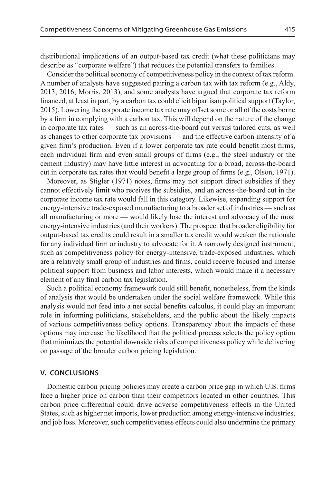distributional implications of an output-based tax credit (what these politicians may describe as "corporate welfare") that reduces the potential transfers to families.

Consider the political economy of competitiveness policy in the context of tax reform. A number of analysts have suggested pairing a carbon tax with tax reform (e.g., Aldy, 2013, 2016; Morris, 2013), and some analysts have argued that corporate tax reform financed, at least in part, by a carbon tax could elicit bipartisan political support (Taylor, 2015). Lowering the corporate income tax rate may offset some or all of the costs borne by a firm in complying with a carbon tax. This will depend on the nature of the change in corporate tax rates — such as an across-the-board cut versus tailored cuts, as well as changes to other corporate tax provisions — and the effective carbon intensity of a given firm's production. Even if a lower corporate tax rate could benefit most firms, each individual firm and even small groups of firms (e.g., the steel industry or the cement industry) may have little interest in advocating for a broad, across-the-board cut in corporate tax rates that would benefit a large group of firms (e.g., Olson, 1971).

Moreover, as Stigler (1971) notes, firms may not support direct subsidies if they cannot effectively limit who receives the subsidies, and an across-the-board cut in the corporate income tax rate would fall in this category. Likewise, expanding support for energy-intensive trade-exposed manufacturing to a broader set of industries — such as all manufacturing or more — would likely lose the interest and advocacy of the most energy-intensive industries (and their workers). The prospect that broader eligibility for output-based tax credits could result in a smaller tax credit would weaken the rationale for any individual firm or industry to advocate for it. A narrowly designed instrument, such as competitiveness policy for energy-intensive, trade-exposed industries, which are a relatively small group of industries and firms, could receive focused and intense political support from business and labor interests, which would make it a necessary element of any final carbon tax legislation.

Such a political economy framework could still benefit, nonetheless, from the kinds of analysis that would be undertaken under the social welfare framework. While this analysis would not feed into a net social benefits calculus, it could play an important role in informing politicians, stakeholders, and the public about the likely impacts of various competitiveness policy options. Transparency about the impacts of these options may increase the likelihood that the political process selects the policy option that minimizes the potential downside risks of competitiveness policy while delivering on passage of the broader carbon pricing legislation.

#### **V. CONCLUSIONS**

Domestic carbon pricing policies may create a carbon price gap in which U.S. firms face a higher price on carbon than their competitors located in other countries. This carbon price differential could drive adverse competitiveness effects in the United States, such as higher net imports, lower production among energy-intensive industries, and job loss. Moreover, such competitiveness effects could also undermine the primary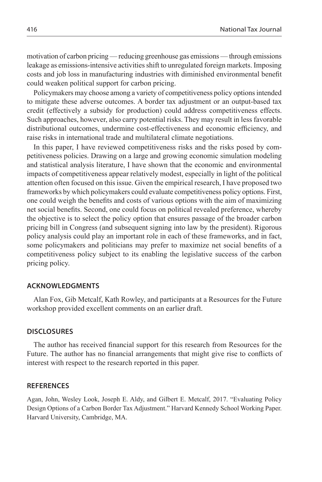motivation of carbon pricing — reducing greenhouse gas emissions — through emissions leakage as emissions-intensive activities shift to unregulated foreign markets. Imposing costs and job loss in manufacturing industries with diminished environmental benefit could weaken political support for carbon pricing.

Policymakers may choose among a variety of competitiveness policy options intended to mitigate these adverse outcomes. A border tax adjustment or an output-based tax credit (effectively a subsidy for production) could address competitiveness effects. Such approaches, however, also carry potential risks. They may result in less favorable distributional outcomes, undermine cost-effectiveness and economic efficiency, and raise risks in international trade and multilateral climate negotiations.

In this paper, I have reviewed competitiveness risks and the risks posed by competitiveness policies. Drawing on a large and growing economic simulation modeling and statistical analysis literature, I have shown that the economic and environmental impacts of competitiveness appear relatively modest, especially in light of the political attention often focused on this issue. Given the empirical research, I have proposed two frameworks by which policymakers could evaluate competitiveness policy options. First, one could weigh the benefits and costs of various options with the aim of maximizing net social benefits. Second, one could focus on political revealed preference, whereby the objective is to select the policy option that ensures passage of the broader carbon pricing bill in Congress (and subsequent signing into law by the president). Rigorous policy analysis could play an important role in each of these frameworks, and in fact, some policymakers and politicians may prefer to maximize net social benefits of a competitiveness policy subject to its enabling the legislative success of the carbon pricing policy.

#### **ACKNOWLEDGMENTS**

Alan Fox, Gib Metcalf, Kath Rowley, and participants at a Resources for the Future workshop provided excellent comments on an earlier draft.

#### **DISCLOSURES**

The author has received financial support for this research from Resources for the Future. The author has no financial arrangements that might give rise to conflicts of interest with respect to the research reported in this paper.

# **REFERENCES**

Agan, John, Wesley Look, Joseph E. Aldy, and Gilbert E. Metcalf, 2017. "Evaluating Policy Design Options of a Carbon Border Tax Adjustment." Harvard Kennedy School Working Paper. Harvard University, Cambridge, MA.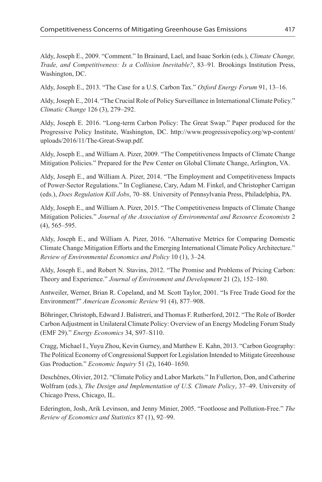Aldy, Joseph E., 2009. "Comment." In Brainard, Lael, and Isaac Sorkin (eds.), *Climate Change, Trade, and Competitiveness: Is a Collision Inevitable?*, 83–91*.* Brookings Institution Press, Washington, DC.

Aldy, Joseph E., 2013. "The Case for a U.S. Carbon Tax." *Oxford Energy Forum* 91, 13–16.

Aldy, Joseph E., 2014. "The Crucial Role of Policy Surveillance in International Climate Policy." *Climatic Change* 126 (3), 279–292.

Aldy, Joseph E. 2016. "Long-term Carbon Policy: The Great Swap." Paper produced for the Progressive Policy Institute, Washington, DC. http://www.progressivepolicy.org/wp-content/ uploads/2016/11/The-Great-Swap.pdf.

Aldy, Joseph E., and William A. Pizer, 2009. "The Competitiveness Impacts of Climate Change Mitigation Policies." Prepared for the Pew Center on Global Climate Change, Arlington, VA.

Aldy, Joseph E., and William A. Pizer, 2014. "The Employment and Competitiveness Impacts of Power-Sector Regulations." In Coglianese, Cary, Adam M. Finkel, and Christopher Carrigan (eds.), *Does Regulation Kill Jobs*, 70–88. University of Pennsylvania Press, Philadelphia, PA.

Aldy, Joseph E., and William A. Pizer, 2015. "The Competitiveness Impacts of Climate Change Mitigation Policies." *Journal of the Association of Environmental and Resource Economists* 2 (4), 565–595.

Aldy, Joseph E., and William A. Pizer, 2016. "Alternative Metrics for Comparing Domestic Climate Change Mitigation Efforts and the Emerging International Climate Policy Architecture." *Review of Environmental Economics and Policy* 10 (1), 3–24.

Aldy, Joseph E., and Robert N. Stavins, 2012. "The Promise and Problems of Pricing Carbon: Theory and Experience." *Journal of Environment and Development* 21 (2), 152–180.

Antweiler, Werner, Brian R. Copeland, and M. Scott Taylor, 2001. "Is Free Trade Good for the Environment?" *American Economic Review* 91 (4), 877–908.

Böhringer, Christoph, Edward J. Balistreri, and Thomas F. Rutherford, 2012. "The Role of Border Carbon Adjustment in Unilateral Climate Policy: Overview of an Energy Modeling Forum Study (EMF 29)." *Energy Economics* 34, S97–S110.

Cragg, Michael I., Yuyu Zhou, Kevin Gurney, and Matthew E. Kahn, 2013. "Carbon Geography: The Political Economy of Congressional Support for Legislation Intended to Mitigate Greenhouse Gas Production." *Economic Inquiry* 51 (2), 1640–1650.

Deschênes, Olivier, 2012. "Climate Policy and Labor Markets." In Fullerton, Don, and Catherine Wolfram (eds.), *The Design and Implementation of U.S. Climate Policy*, 37–49. University of Chicago Press, Chicago, IL.

Ederington, Josh, Arik Levinson, and Jenny Minier, 2005. "Footloose and Pollution-Free." *The Review of Economics and Statistics* 87 (1), 92–99.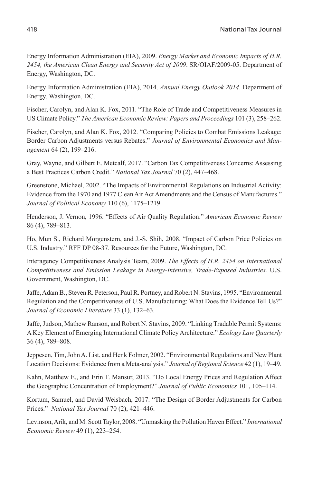Energy Information Administration (EIA), 2009. *Energy Market and Economic Impacts of H.R. 2454, the American Clean Energy and Security Act of 2009*. SR/OIAF/2009-05. Department of Energy, Washington, DC.

Energy Information Administration (EIA), 2014. *Annual Energy Outlook 2014*. Department of Energy, Washington, DC.

Fischer, Carolyn, and Alan K. Fox, 2011. "The Role of Trade and Competitiveness Measures in US Climate Policy." *The American Economic Review: Papers and Proceedings* 101 (3), 258–262.

Fischer, Carolyn, and Alan K. Fox, 2012. "Comparing Policies to Combat Emissions Leakage: Border Carbon Adjustments versus Rebates." *Journal of Environmental Economics and Management* 64 (2), 199–216.

Gray, Wayne, and Gilbert E. Metcalf, 2017. "Carbon Tax Competitiveness Concerns: Assessing a Best Practices Carbon Credit." *National Tax Journal* 70 (2), 447–468.

Greenstone, Michael, 2002. "The Impacts of Environmental Regulations on Industrial Activity: Evidence from the 1970 and 1977 Clean Air Act Amendments and the Census of Manufactures." *Journal of Political Economy* 110 (6), 1175–1219.

Henderson, J. Vernon, 1996. "Effects of Air Quality Regulation." *American Economic Review* 86 (4), 789–813.

Ho, Mun S., Richard Morgenstern, and J.-S. Shih, 2008. "Impact of Carbon Price Policies on U.S. Industry." RFF DP 08-37. Resources for the Future, Washington, DC.

Interagency Competitiveness Analysis Team, 2009. *The Effects of H.R. 2454 on International Competitiveness and Emission Leakage in Energy-Intensive, Trade-Exposed Industries.* U.S. Government, Washington, DC.

Jaffe, Adam B., Steven R. Peterson, Paul R. Portney, and Robert N. Stavins, 1995. "Environmental Regulation and the Competitiveness of U.S. Manufacturing: What Does the Evidence Tell Us?" *Journal of Economic Literature* 33 (1), 132–63.

Jaffe, Judson, Mathew Ranson, and Robert N. Stavins, 2009. "Linking Tradable Permit Systems: A Key Element of Emerging International Climate Policy Architecture." *Ecology Law Quarterly* 36 (4), 789–808.

Jeppesen, Tim, John A. List, and Henk Folmer, 2002. "Environmental Regulations and New Plant Location Decisions: Evidence from a Meta-analysis." *Journal of Regional Science* 42 (1), 19–49.

Kahn, Matthew E., and Erin T. Mansur, 2013. "Do Local Energy Prices and Regulation Affect the Geographic Concentration of Employment?" *Journal of Public Economics* 101, 105–114.

Kortum, Samuel, and David Weisbach, 2017. "The Design of Border Adjustments for Carbon Prices." *National Tax Journal* 70 (2), 421–446.

Levinson, Arik, and M. Scott Taylor, 2008. "Unmasking the Pollution Haven Effect." *International Economic Review* 49 (1), 223–254.